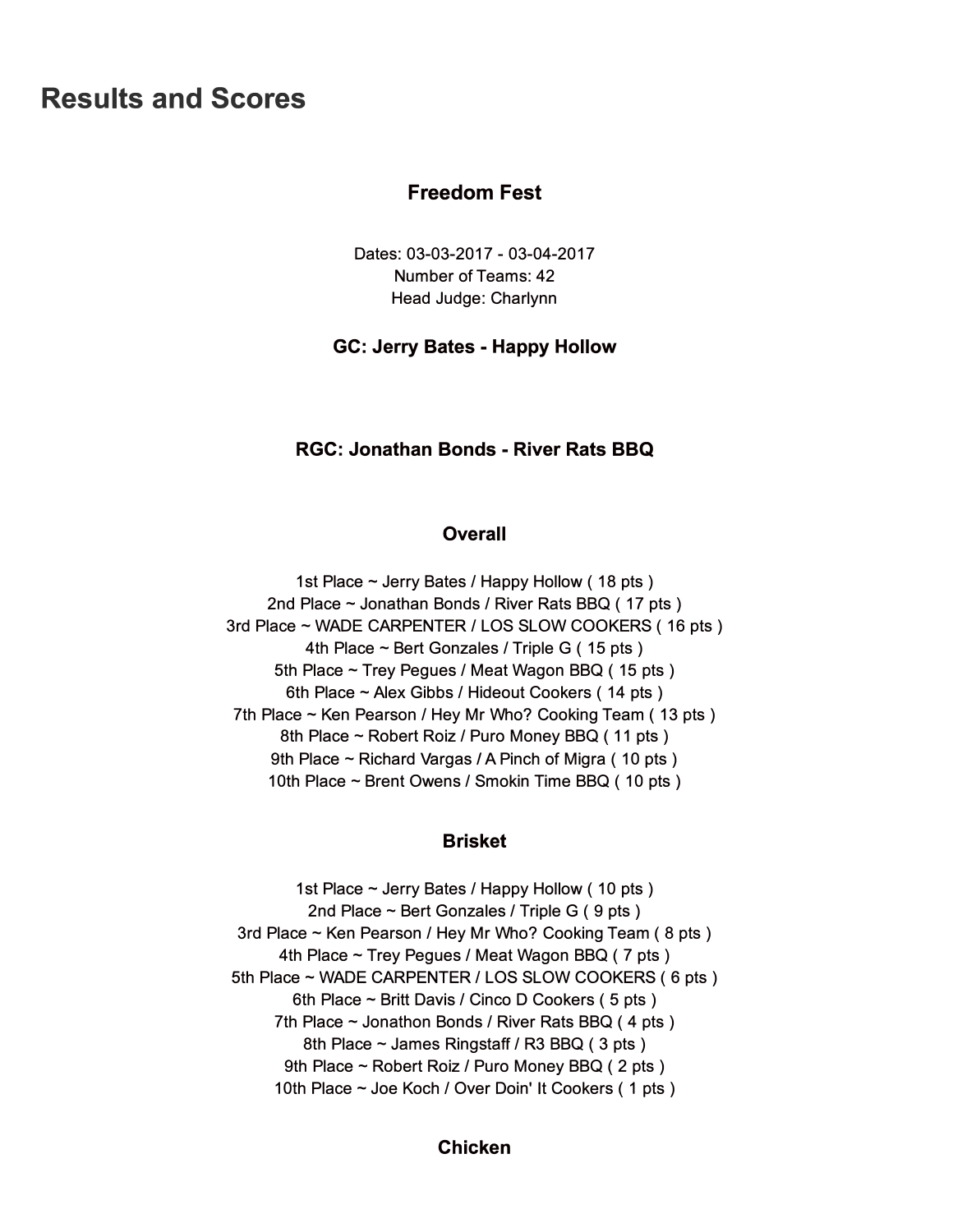# **Results and Scores**

# **Freedom Fest**

Dates: 03-03-2017 - 03-04-2017 Number of Teams: 42 Head Judge: Charlynn

## **GC: Jerry Bates - Happy Hollow**

# **RGC: Jonathan Bonds - River Rats BBQ**

## **Overall**

1st Place  $\sim$  Jerry Bates / Happy Hollow (18 pts) 2nd Place  $\sim$  Jonathan Bonds / River Rats BBQ (17 pts) 3rd Place - WADE CARPENTER / LOS SLOW COOKERS ( 16 pts ) 4th Place  $\sim$  Bert Gonzales / Triple G (15 pts) 5th Place ~ Trey Pegues / Meat Wagon BBQ (15 pts) 6th Place ~ Alex Gibbs / Hideout Cookers (14 pts) 7th Place  $\sim$  Ken Pearson / Hey Mr Who? Cooking Team (13 pts) 8th Place ~ Robert Roiz / Puro Money BBQ (11 pts) 9th Place ~ Richard Vargas / A Pinch of Migra (10 pts) 10th Place  $\sim$  Brent Owens / Smokin Time BBQ (10 pts)

# **Brisket**

1st Place  $\sim$  Jerry Bates / Happy Hollow (10 pts) 2nd Place  $\sim$  Bert Gonzales / Triple G (9 pts) 3rd Place  $\sim$  Ken Pearson / Hey Mr Who? Cooking Team (8 pts) 4th Place  $\sim$  Trey Pegues / Meat Wagon BBQ (7 pts) 5th Place ~ WADE CARPENTER / LOS SLOW COOKERS (6 pts) 6th Place  $\sim$  Britt Davis / Cinco D Cookers (5 pts) 7th Place  $\sim$  Jonathon Bonds / River Rats BBQ (4 pts) 8th Place  $\sim$  James Ringstaff / R3 BBQ (3 pts) 9th Place ~ Robert Roiz / Puro Money BBQ (2 pts) 10th Place ~ Joe Koch / Over Doin' It Cookers (1 pts)

# **Chicken**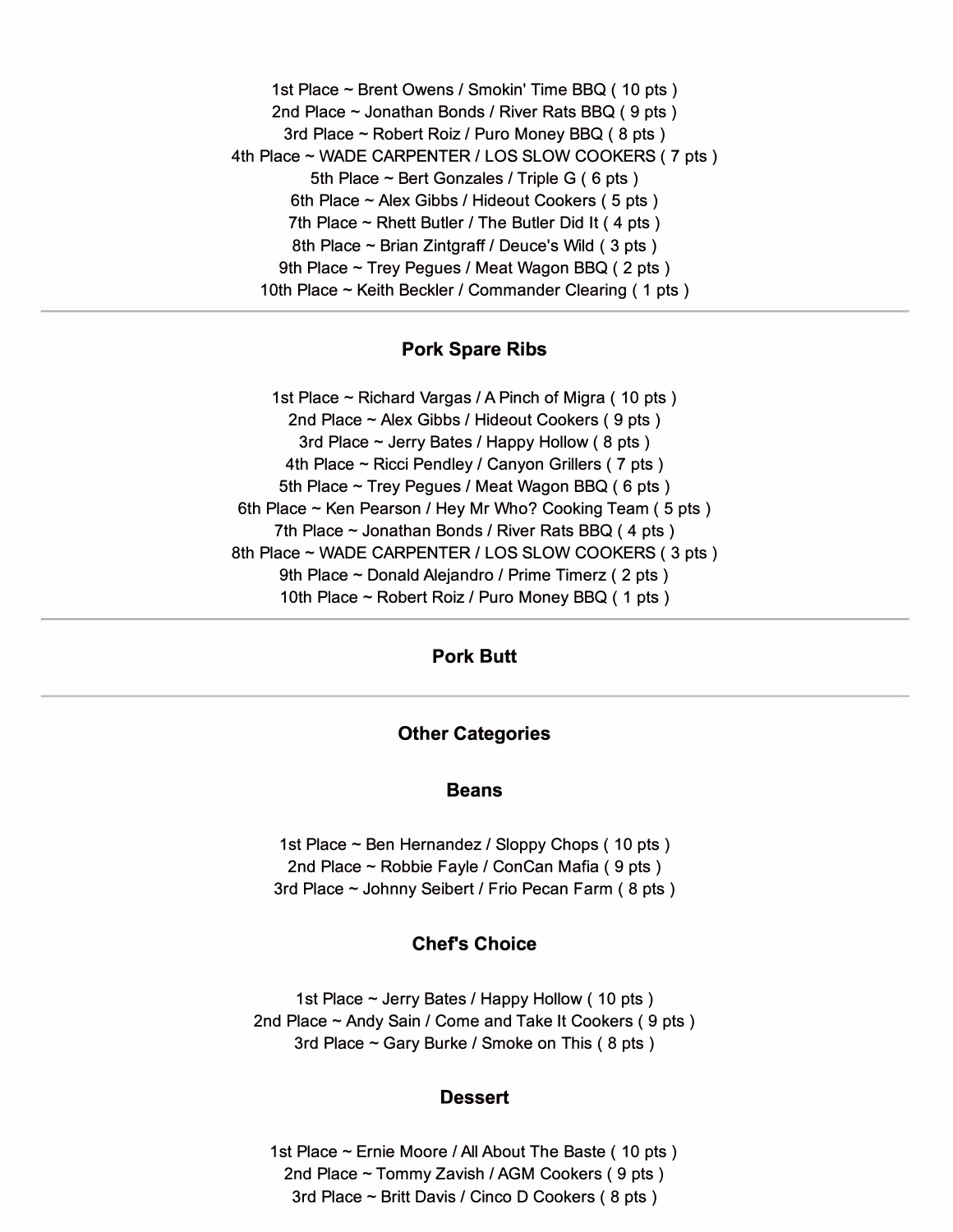1st Place ~ Brent Owens / Smokin' Time BBQ (10 pts) 2nd Place  $\sim$  Jonathan Bonds / River Rats BBQ (9 pts) 3rd Place - Robert Roiz / Puro Money BBQ ( 8 pts ) 4th Place ~ WADE CARPENTER / LOS SLOW COOKERS (7 pts) 5th Place  $\sim$  Bert Gonzales / Triple G (6 pts) 6th Place  $\sim$  Alex Gibbs / Hideout Cookers (5 pts) 7th Place  $\sim$  Rhett Butler / The Butler Did It (4 pts) 8th Place  $\sim$  Brian Zintgraff / Deuce's Wild (3 pts) 9th Place ~ Trey Pegues / Meat Wagon BBQ (2 pts) 10th Place  $\sim$  Keith Beckler / Commander Clearing (1 pts)

## **Pork Spare Ribs**

1st Place  $\sim$  Richard Vargas / A Pinch of Migra (10 pts) 2nd Place  $\sim$  Alex Gibbs / Hideout Cookers (9 pts) 3rd Place  $\sim$  Jerry Bates / Happy Hollow (8 pts) 4th Place  $\sim$  Ricci Pendley / Canyon Grillers (7 pts) 5th Place ~ Trey Pegues / Meat Wagon BBQ (6 pts) 6th Place ~ Ken Pearson / Hey Mr Who? Cooking Team (5 pts) 7th Place  $\sim$  Jonathan Bonds / River Rats BBQ (4 pts) 8th Place ~ WADE CARPENTER / LOS SLOW COOKERS (3 pts) 9th Place ~ Donald Alejandro / Prime Timerz (2 pts) 10th Place ~ Robert Roiz / Puro Money BBQ (1 pts)

## **Pork Butt**

### **Other Categories**

#### **Beans**

1st Place  $\sim$  Ben Hernandez / Sloppy Chops (10 pts) 2nd Place ~ Robbie Fayle / ConCan Mafia (9 pts) 3rd Place  $\sim$  Johnny Seibert / Frio Pecan Farm (8 pts)

# **Chefs Choice**

1st Place  $\sim$  Jerry Bates / Happy Hollow (10 pts) 2nd Place ~ Andy Sain / Come and Take It Cookers (9 pts) 3rd Place  $\sim$  Gary Burke / Smoke on This (8 pts)

### **Dessert**

1st Place ~ Ernie Moore / All About The Baste (10 pts) 2nd Place  $\sim$  Tommy Zavish / AGM Cookers (9 pts) 3rd Place  $\sim$  Britt Davis / Cinco D Cookers (8 pts)